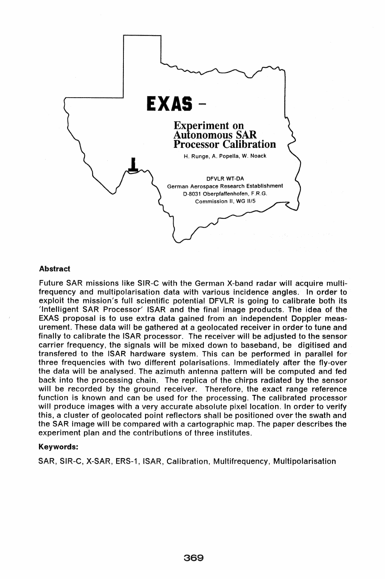

### Abstract

Future SAR missions like SIR-C with the German X-band radar will acquire multifrequency and multipolarisation data with various incidence angles. In order to exploit the mission's full scientific potential DFVLR is going to calibrate both its 'Intelligent SAR Processor' ISAR and the final image products. The idea of the EXAS proposal is to use extra data gained from an independent Doppler measurement. These data will be gathered at a geolocated receiver in order to tune and finally to calibrate the ISAR processor. The receiver will be adjusted to the sensor carrier frequency, the signals will be mixed down to baseband, be digitised and transfered to the ISAR hardware system. This can be performed in parallel for three frequencies with two different polarisations. Immediately after the fly-over the data will be analysed. The azimuth antenna pattern will be computed and fed back into the processing chain. The replica of the chirps radiated by the sensor will be recorded by the ground receiver. Therefore, the exact range reference function is known and can be used for the processing. The calibrated processor will produce images with a very accurate absolute pixel location. In order to verify this, a cluster of geolocated point reflectors shall be positioned over the swath and the SAR image will be compared with a cartographic map. The paper describes the experiment plan and the contributions of three institutes.

# Keywords:

SAR, SIR-C, X-SAR, ERS-1, ISAR, Calibration, Multifrequency, Multipolarisation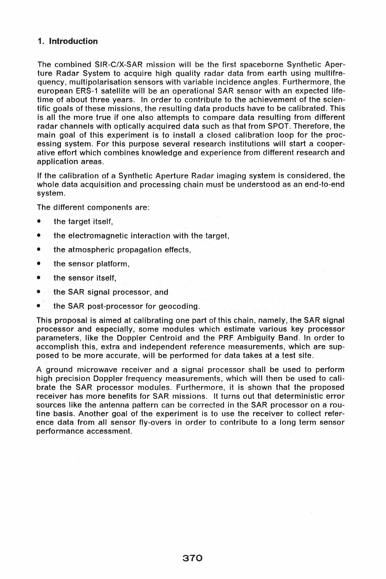# 1. Introduction

The combined SIR-C/X-SAR mission will be the first spaceborne Synthetic Aperture Radar System to acquire high quality radar data from earth using multifrequency, multipolarisation sensors with variable incidence angles. Furthermore, the european ERS-1 satellite will be an operational SAR sensor with an expected lifetime of about three years. In order to contribute to the achievement of the scientific goals of these missions, the resulting data products have to be calibrated. This is all the more true if one also attempts to compare data resulting from different radar channels with optically acquired data such as that from SPOT. Therefore, the main goal of this experiment is to install a closed calibration loop for the processing system. For this purpose several research institutions will start a cooperative effort which combines knowledge and experience from different research and application areas.

If the calibration of a Synthetic Aperture Radar imaging system is considered, the whole data acquisition and processing chain must be understood as an end-to-end system.

The different components are:

- the target itself,
- the electromagnetic interaction with the target,
- the atmospheric propagation effects,
- the sensor platform,
- the sensor itself,
- the SAR signal processor, and
- the SAR post-processor for geocoding.

This proposal is aimed at calibrating one part of this chain, namely, the SAR signal processor and especially, some modules which estimate various key processor parameters, like the Doppler Centroid and the PRF Ambiguity Band. In order to accomplish this, extra and independent reference measurements, which are supposed to be more accurate, will be performed for data takes at a test site.

A ground microwave receiver and a signal processor shall be used to perform high precision Doppler frequency measurements, which will then be used to calibrate the SAR processor modules. Furthermore, it is shown that the proposed receiver has more benefits for SAR missions. It turns out that deterministic error sources like the antenna pattern can be corrected in the SAR processor on a routine basis. Another goal of the experiment is to use the receiver to collect reference data from all sensor fly-overs in order to contribute to a long term sensor performance accessment.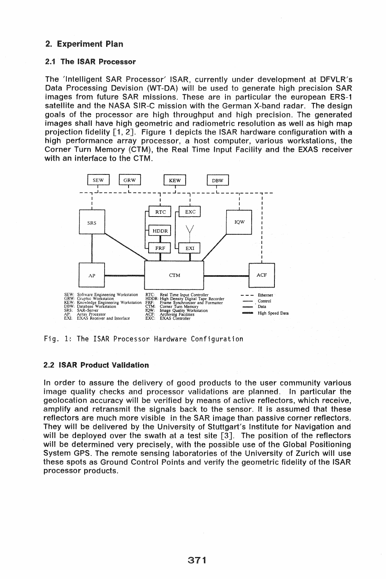# 2. Experiment Plan

### 2.1 The ISAR Processor

The 'Intelligent SAR Processor' ISAR, currently under development at DFVLR's Data Processing Devision (WT-DA) will be used to generate high precision SAR images from future SAR missions. These are in particular the european ERS-1 satellite and the NASA SIR-C mission with the German X-band radar. The design goals of the processor are high throughput and high precision. The generated images shall have high geometric and radiometric resolution as well as high map projection fidelity [1, 2]. Figure 1 depicts the ISAR hardware configuration with a high performance array processor, a host computer, various workstations, the Corner Turn Memory (CTM), the Real Time Input Facility and the EXAS receiver with an interface to the CTM.



Fig. 1: The ISAR Processor Hardware Configuration

# 2.2 ISAR Product Validation

In order to assure the delivery of good products to the user community various image quality checks and processor validations are planned. In particular the geolocation accuracy will be verified by means of active reflectors, which receive, amplify and retransmit the signals back to the sensor. It is assumed that these reflectors are much more visible in the SAR image than passive corner reflectors. They will be delivered by the University of Stuttgart's Institute for Navigation and will be deployed over the swath at a test site [3]. The position of the reflectors will be determined very precisely, with the possible use of the Global Positioning System GPS. The remote sensing laboratories of the University of Zurich will use these spots as Ground Control Points and verify the geometric fidelity of the ISAR processor products.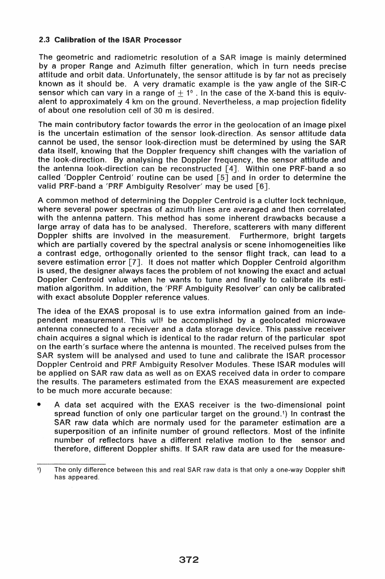# 2.3 Calibration of the ISAR Processor

The geometric and radiometric resolution of a SAR image is mainly determined by a proper Range and Azimuth filter generation, which in turn needs precise attitude and orbit data. Unfortunately, the sensor attitude is by far not as precisely known as it should be. A very dramatic example is the yaw angle of the SIR-C sensor which can vary in a range of  $+1^{\circ}$ . In the case of the X-band this is equivalent to approximately 4 km on the ground. Nevertheless, a map projection fidelity of about one resolution cell of 30 m is desired.

The main contributory factor towards the error in the geolocation of an image pixel is the uncertain estimation of the sensor look-direction. As sensor attitude data cannot be used, the sensor look-direction must be determined by using the SAR data itself, knowing that the Doppler frequency shift changes with the variation of the look-direction. By analysing the Doppler frequency, the sensor attitude and the antenna look-direction can be reconstructed [4]. Within one PRF-band a so called 'Doppler Centroid' routine can be used [5] and in order to determine the valid PRF-band a 'PRF Ambiguity Resolver' may be used [6].

A common method of determining the Doppler Centroid is a clutter lock technique, where several power spectras of azimuth lines are averaged and then correlated with the antenna pattern. This method has some inherent drawbacks because a large array of data has to be analysed. Therefore, scatterers with many different Doppler shifts are involved in the measurement. Furthermore, bright targets which are partially covered by the spectral analysis or scene inhomogeneities like a contrast edge, orthogonally oriented to the sensor flight track, can lead to a severe estimation error [7]. It does not matter which Doppler Centroid algorithm is used, the designer always faces the problem of not knowing the exact and actual Doppler Centroid value when he wants to tune and finally to calibrate its estimation algorithm. In addition, the 'PRF Ambiguity Resolver' can only be calibrated with exact absolute Doppler reference values.

The idea of the EXAS proposal is to use extra information gained from an independent measurement. This wil! be accomplished by a geolocated microwave antenna connected to a receiver and a data storage device. This passive receiver chain acquires a signal which is identical to the radar return of the particular spot on the earth's surface where the antenna is mounted. The received pulses from the SAR system will be analysed and used to tune and calibrate the ISAR processor Doppler Centroid and PRF Ambiguity Resolver Modules. These ISAR modules will be applied on SAR raw data as well as on EXAS received data in order to compare the results. The parameters estimated from the EXAS measurement are expected to be much more accurate because:

A data set acquired with the EXAS receiver is the two-dimensional point spread function of only one particular target on the ground.1) In contrast the SAR raw data which are normaly used for the parameter estimation are a superposition of an infinite number of ground reflectors. Most of the infinite number of reflectors have a different relative motion to the sensor and therefore, different Doppler shifts. If SAR raw data are used for the measure-

<sup>1)</sup> The only difference between this and real SAR raw data is that only a one-way Doppler shift has appeared.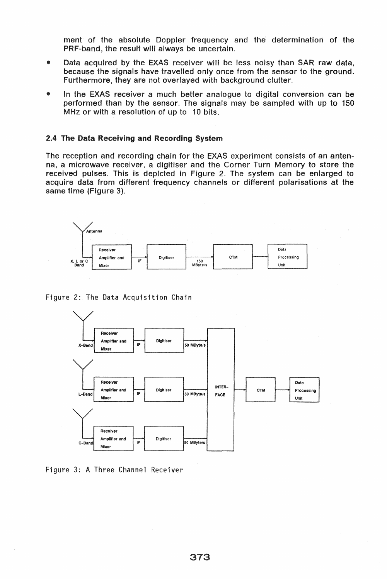ment of the absolute Doppler frequency and the determination of the PRF-band, the result will always be uncertain.

- .. Data acquired by the EXAS receiver will be less noisy than SAR raw data, because the signals have travelled only once from the sensor to the ground. Furthermore, they are not overlayed with background clutter.
- In the EXAS receiver a much better analogue to digital conversion can be performed than by the sensor. The signals may be sampled with up to 150 MHz or with a resolution of up to 10 bits.

### 2.4 The Data Receiving and Recording System

The reception and recording chain for the EXAS experiment consists of an antenna, a microwave receiver, a digitiser and the Corner Turn Memory to store the received pulses. This is depicted in Figure 2. The system can be enlarged to acquire data from different frequency channels or different polarisations at the same time (Figure 3).



Figure 2: The Data Acquisition Chain



Figure 3: A Three Channel Receiver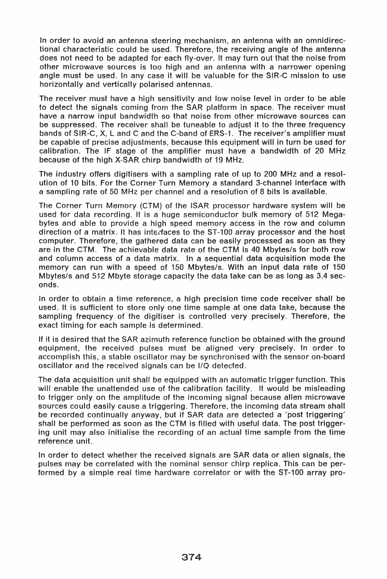In order to avoid an antenna steering mechanism, an antenna with an omnidirectional characteristic could be used. Therefore, the receiving angle of the antenna does not need to be adapted for each fly-over. It may turn out that the noise from other microwave sources is too high and an antenna with a narrower opening angle must be used. In any case it will be valuable for the SIR-C mission to use horizontally and vertically polarised antennas.

The receiver must have a high sensitivity and low noise level in order to be able to detect the signals coming from the SAR platform in space. The receiver must have a narrow input bandwidth so that noise from other microwave sources can be suppressed. The receiver shall be tuneable to adjust it to the three frequency bands of SIR-C, X, L and C and the C-band of ERS-1. The receiver's amplifier must be capable of precise adjustments, because this equipment will in turn be used for calibration. The IF stage of the amplifier must have a bandwidth of 20 MHz because of the high X-SAR chirp bandwidth of 19 MHz.

The industry offers digitisers with a sampling rate of up to 200 MHz and a resolution of 10 bits. For the Corner Turn Memory a standard 3-channel interlace with a sampling rate of 50 MHz per channel and a resolution of 8 bits is available.

The Corner Turn Memory (CTM) of the ISAR processor hardware system will be used for data recording. It is a huge semiconductor bulk memory of 512 Megabytes and able to provide a high speed memory access in the row and column direction of a matrix. It has interfaces to the ST-100 array processor and the host computer. Therefore, the gathered data can be easily processed as soon as they are in the CTM. The achievable data rate of the CTM is 40 Mbytes/s for both row and column access of a data matrix. In a sequential data acquisition mode the memory can run with a speed of 150 Mbytes/s. With an input data rate of 150 Mbytes/s and 512 Mbyte storage capacity the data take can be as long as 3.4 seconds.

In order to obtain a time reference, a high precision time code receiver shall be used. It is sufficient to store only one time sample at one data take, because the sampling frequency of the digitiser is controlled very precisely. Therefore, the exact timing for each sample is determined.

If it is desired that the SAR azimuth reference function be obtained with the ground equipment, the received pulses must be aligned very precisely. In order to accomplish this, a stable oscillator may be synchronised with the sensor on-board oscillator and the received signals can be I/Q detected.

The data acquisition unit shall be equipped with an automatic trigger function. This will enable the unattended use of the calibration facility. It would be misleading to trigger only on the amplitude of the incoming signal because alien microwave sources could easily cause a triggering. Therefore, the incoming data stream shall be recorded continually anyway, but if SAR data are detected a 'post triggering' shall be performed as soon as the CTM is filled with useful data. The post triggering unit may also initialise the recording of an actual time sample from the time reference unit.

In order to detect whether the received signals are SAR data or alien signals, the pulses may be correlated with the nominal sensor chirp replica. This can be performed by a simple real time hardware correlator or with the ST-100 array pro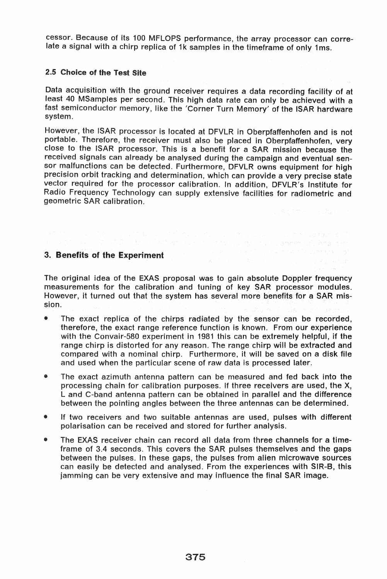cessor. Because of its 100 MFLOPS performance, the array processor can correlate a signal with a chirp replica of 1k samples in the timeframe of only 1ms.

### 2.5 Choice of the Test Site

Data acquisition with the ground receiver requires a data recording facility of at least 40 MSamples per second. This high data rate can only be achieved with a fast semiconductor memory, like the 'Corner Turn Memory' of the ISAR hardware system.

However, the ISAR processor is located at DFVLR in Oberpfaffenhofen and is not portable. Therefore, the receiver must also be placed in Oberpfaffenhofen, very close to ISAR processor. This is a benefit for a SAR mission because the received signals can already be analysed during the campaign and eventual sensor malfunctions can be detected. Furthermore, DFVLR owns equipment for high precision orbit tracking and determination, which can provide a very precise state vector required for the processor calibration. In addition, DFVLR's Institute for Radio Frequency Technology can supply extensive facilities for radiometric and geometric SAR calibration.

# 3. Benefits of the Experiment

The original idea of the EXAS proposal was to gain absolute Doppler frequency measurements for the calibration and tuning of key SAR processor modules. However, it turned out that the system has several more benefits for a SAR mission.

in the second factor that in probability of the second that the second composition of the probability of the s<br>The second of the SAD in the state of the second of the probability of the SAD <mark>above</mark> that () and a probabilit

- The exact replica of the chirps radiated by the sensor can be recorded, therefore, the exact range reference function is known. From our experience with the Convair-580 experiment in 1981 this can be extremely helpful, if the range chirp is distorted for any reason. The range chirp will be extracted and compared with a nominal chirp. Furthermore, it will be saved on a disk file and used when the particular scene of raw data is processed later.
- The exact azimuth antenna pattern can be measured and fed back into the processing chain for calibration purposes. if three receivers are used, the X, Land C-band antenna pattern can be obtained in parallel and the difference between the pointing angles between the three antennas can be determined.
- If two receivers and two suitable antennas are used, pulses with different polarisation can be received and stored for further analysis.
- EXAS receiver chain can record all data from three channels for a timeframe of 3.4 seconds. This covers the SAR pulses themselves and the gaps between the pulses. In these gaps, the pulses from alien microwave sources can easily be detected and analysed. From the experiences with SIR-8, this jamming can be very extensive and may influence the final SAR image.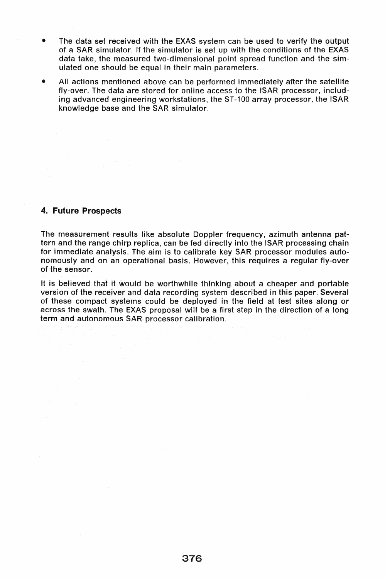- The data set received with the EXAS system can be used to verify the output of a SAR simulator. If the simulator is set up with the conditions of the EXAS data take, the measured two-dimensional point spread function and the simulated one should be equal in their main parameters.
- All actions mentioned above can be performed immediately after the satellite fly-over. The data are stored for online access to the ISAR processor, including advanced engineering workstations, the ST-100 array processor, the ISAR knowledge base and the SAR simulator.

# 4. Future Prospects

The measurement results like absolute Doppler frequency, azimuth antenna pattern and the range chirp replica, can be fed directly into the ISAR processing chain for immediate analysis. The aim is to calibrate key SAR processor modules autonomously and on an operational basis. However, this requires a regular fly-over of the sensor.

It is believed that it would be worthwhile thinking about a cheaper and portable version of the receiver and data recording system described in this paper. Several of these compact systems could be deployed in the field at test sites along or across the swath. The EXAS proposal will be a first step in the direction of a long term and autonomous SAR processor calibration.